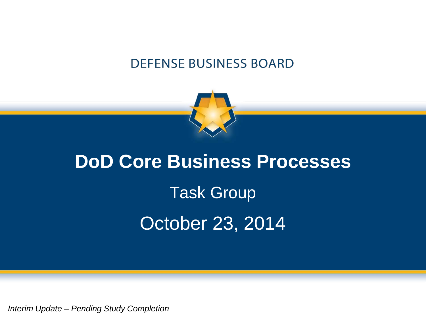### **DEFENSE BUSINESS BOARD**



# **DoD Core Business Processes** Task Group October 23, 2014

*Interim Update – Pending Study Completion*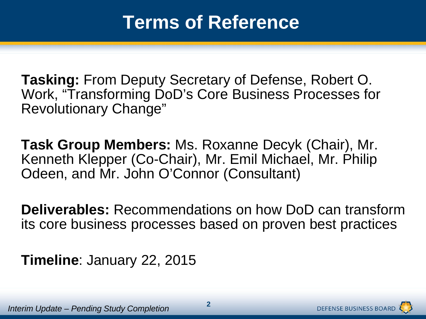**Tasking:** From Deputy Secretary of Defense, Robert O. Work, "Transforming DoD's Core Business Processes for Revolutionary Change"

**Task Group Members:** Ms. Roxanne Decyk (Chair), Mr. Kenneth Klepper (Co-Chair), Mr. Emil Michael, Mr. Philip Odeen, and Mr. John O'Connor (Consultant)

**Deliverables:** Recommendations on how DoD can transform its core business processes based on proven best practices

**Timeline**: January 22, 2015

**DEFENSE BUSINESS BOARD**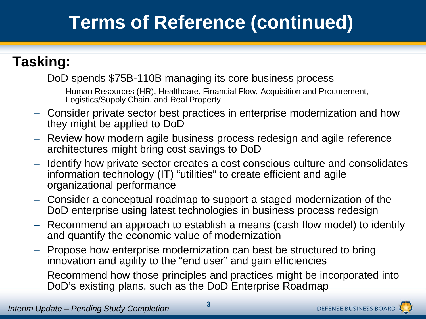# **Terms of Reference (continued)**

### **Tasking:**

- DoD spends \$75B-110B managing its core business process
	- Human Resources (HR), Healthcare, Financial Flow, Acquisition and Procurement, Logistics/Supply Chain, and Real Property
- Consider private sector best practices in enterprise modernization and how they might be applied to DoD
- Review how modern agile business process redesign and agile reference architectures might bring cost savings to DoD
- Identify how private sector creates a cost conscious culture and consolidates information technology (IT) "utilities" to create efficient and agile organizational performance
- Consider a conceptual roadmap to support a staged modernization of the DoD enterprise using latest technologies in business process redesign
- Recommend an approach to establish a means (cash flow model) to identify and quantify the economic value of modernization
- Propose how enterprise modernization can best be structured to bring innovation and agility to the "end user" and gain efficiencies
- Recommend how those principles and practices might be incorporated into DoD's existing plans, such as the DoD Enterprise Roadmap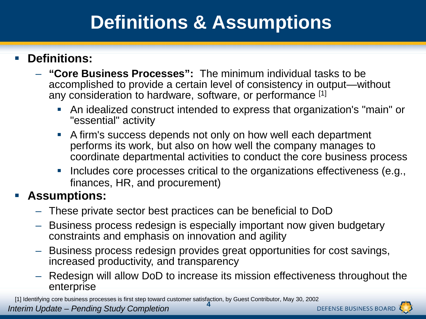## **Definitions & Assumptions**

### **Definitions:**

- **"Core Business Processes":** The minimum individual tasks to be accomplished to provide a certain level of consistency in output—without any consideration to hardware, software, or performance [1]
	- An idealized construct intended to express that organization's "main" or "essential" activity
	- A firm's success depends not only on how well each department performs its work, but also on how well the company manages to coordinate departmental activities to conduct the core business process
	- **Includes core processes critical to the organizations effectiveness (e.g.,** finances, HR, and procurement)

#### **Assumptions:**

- These private sector best practices can be beneficial to DoD
- Business process redesign is especially important now given budgetary constraints and emphasis on innovation and agility
- Business process redesign provides great opportunities for cost savings, increased productivity, and transparency
- Redesign will allow DoD to increase its mission effectiveness throughout the enterprise

*Interim Update – Pending Study Completion*  **4** [1] Identifying core business processes is first step toward customer satisfaction, by Guest Contributor, May 30, 2002

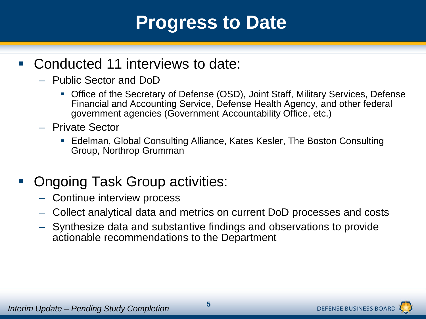### **Progress to Date**

### ■ Conducted 11 interviews to date:

- Public Sector and DoD
	- Office of the Secretary of Defense (OSD), Joint Staff, Military Services, Defense Financial and Accounting Service, Defense Health Agency, and other federal government agencies (Government Accountability Office, etc.)
- Private Sector
	- Edelman, Global Consulting Alliance, Kates Kesler, The Boston Consulting Group, Northrop Grumman

### ■ Ongoing Task Group activities:

- Continue interview process
- Collect analytical data and metrics on current DoD processes and costs
- Synthesize data and substantive findings and observations to provide actionable recommendations to the Department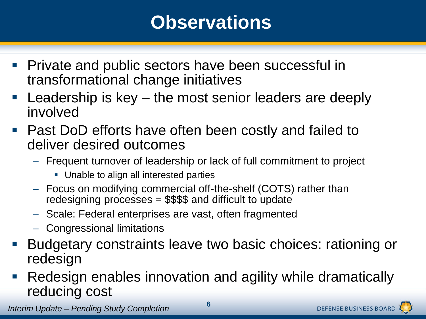### **Observations**

- **Private and public sectors have been successful in** transformational change initiatives
- **Leadership is key the most senior leaders are deeply** involved
- Past DoD efforts have often been costly and failed to deliver desired outcomes
	- Frequent turnover of leadership or lack of full commitment to project
		- **Unable to align all interested parties**
	- Focus on modifying commercial off-the-shelf (COTS) rather than redesigning processes = \$\$\$\$ and difficult to update
	- Scale: Federal enterprises are vast, often fragmented
	- Congressional limitations
- Budgetary constraints leave two basic choices: rationing or redesign
- Redesign enables innovation and agility while dramatically reducing cost

*Interim Update – Pending Study Completion* **<sup>6</sup>**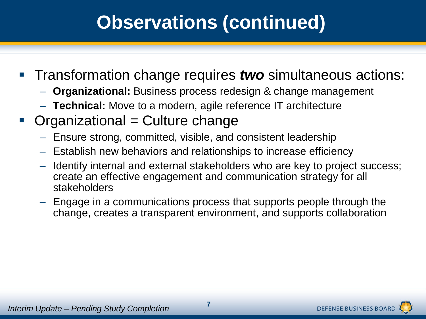# **Observations (continued)**

- **Transformation change requires** *two* **simultaneous actions:** 
	- **Organizational:** Business process redesign & change management
	- **Technical:** Move to a modern, agile reference IT architecture
- $Organizational = Culture change$ 
	- Ensure strong, committed, visible, and consistent leadership
	- Establish new behaviors and relationships to increase efficiency
	- Identify internal and external stakeholders who are key to project success; create an effective engagement and communication strategy for all stakeholders
	- Engage in a communications process that supports people through the change, creates a transparent environment, and supports collaboration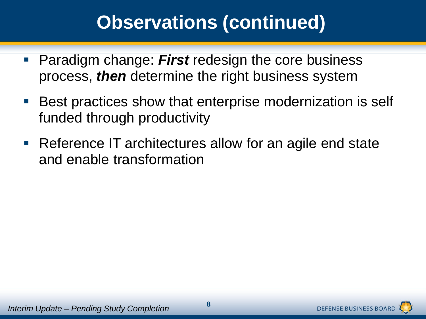### **Observations (continued)**

- **Paradigm change: First redesign the core business** process, *then* determine the right business system
- Best practices show that enterprise modernization is self funded through productivity
- Reference IT architectures allow for an agile end state and enable transformation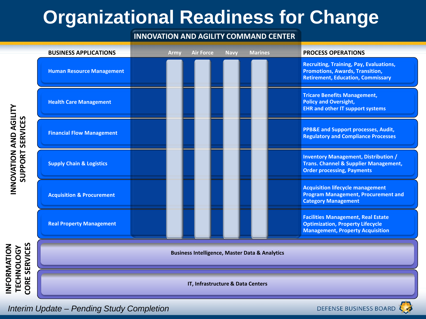# **Organizational Readiness for Change**

#### **INNOVATION AND AGILITY COMMAND CENTER**

| <b>BUSINESS APPLICATIONS</b>                              | <b>Army</b> | <b>Air Force</b> | <b>Navy</b> | <b>Marines</b> | <b>PROCESS OPERATIONS</b>                                                                                                            |
|-----------------------------------------------------------|-------------|------------------|-------------|----------------|--------------------------------------------------------------------------------------------------------------------------------------|
| <b>Human Resource Management</b>                          |             |                  |             |                | <b>Recruiting, Training, Pay, Evaluations,</b><br><b>Promotions, Awards, Transition,</b><br><b>Retirement, Education, Commissary</b> |
| <b>Health Care Management</b>                             |             |                  |             |                | <b>Tricare Benefits Management,</b><br><b>Policy and Oversight,</b><br><b>EHR and other IT support systems</b>                       |
| <b>Financial Flow Management</b>                          |             |                  |             |                | <b>PPB&amp;E and Support processes, Audit,</b><br><b>Regulatory and Compliance Processes</b>                                         |
| <b>Supply Chain &amp; Logistics</b>                       |             |                  |             |                | <b>Inventory Management, Distribution /</b><br><b>Trans. Channel &amp; Supplier Management,</b><br><b>Order processing, Payments</b> |
| <b>Acquisition &amp; Procurement</b>                      |             |                  |             |                | <b>Acquisition lifecycle management</b><br><b>Program Management, Procurement and</b><br><b>Category Management</b>                  |
| <b>Real Property Management</b>                           |             |                  |             |                | <b>Facilities Management, Real Estate</b><br><b>Optimization, Property Lifecycle</b><br><b>Management, Property Acquisition</b>      |
| <b>Business Intelligence, Master Data &amp; Analytics</b> |             |                  |             |                |                                                                                                                                      |
| IT, Infrastructure & Data Centers                         |             |                  |             |                |                                                                                                                                      |

**INFORMATION CORE SERVICES CORE SERVICES** NFORMATION **TECHNOLOGY**  TECHNOLOGY

*Interim Update – Pending Study Completion* •9